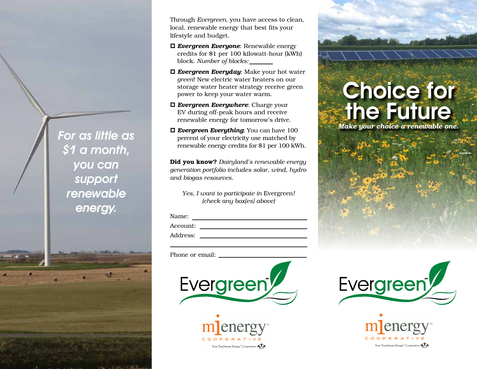Through *Evergreen*, you have access to clean, local, renewable energy that best fits your lifestyle and budget.

- *Evergreen Everyone*: Renewable energy credits for \$1 per 100 kilowatt-hour (kWh) block. *Number of blocks:*
- *Evergreen Everyday*: Make your hot water *green*! New electric water heaters on our storage water heater strategy receive green power to keep your water warm.
- *Evergreen Everywhere*: Charge your EV during off-peak hours and receive renewable energy for tomorrow's drive.
- *Evergreen Everything*: You can have 100 percent of your electricity use matched by renewable energy credits for \$1 per 100 kWh.

**Did you know?** *Dairyland's renewable energy generation portfolio includes solar, wind, hydro and biogas resources.*

*Yes, I want to participate in* Evergreen*! (check any box[es] above)*

| Name:    |  |  |
|----------|--|--|
| Account: |  |  |
| Address: |  |  |

Phone or email:





# Choice for the Future

*Make your choice a renewable one.*





For as little as  $\overline{$}$ 1 a month, you can support renewable

energy.